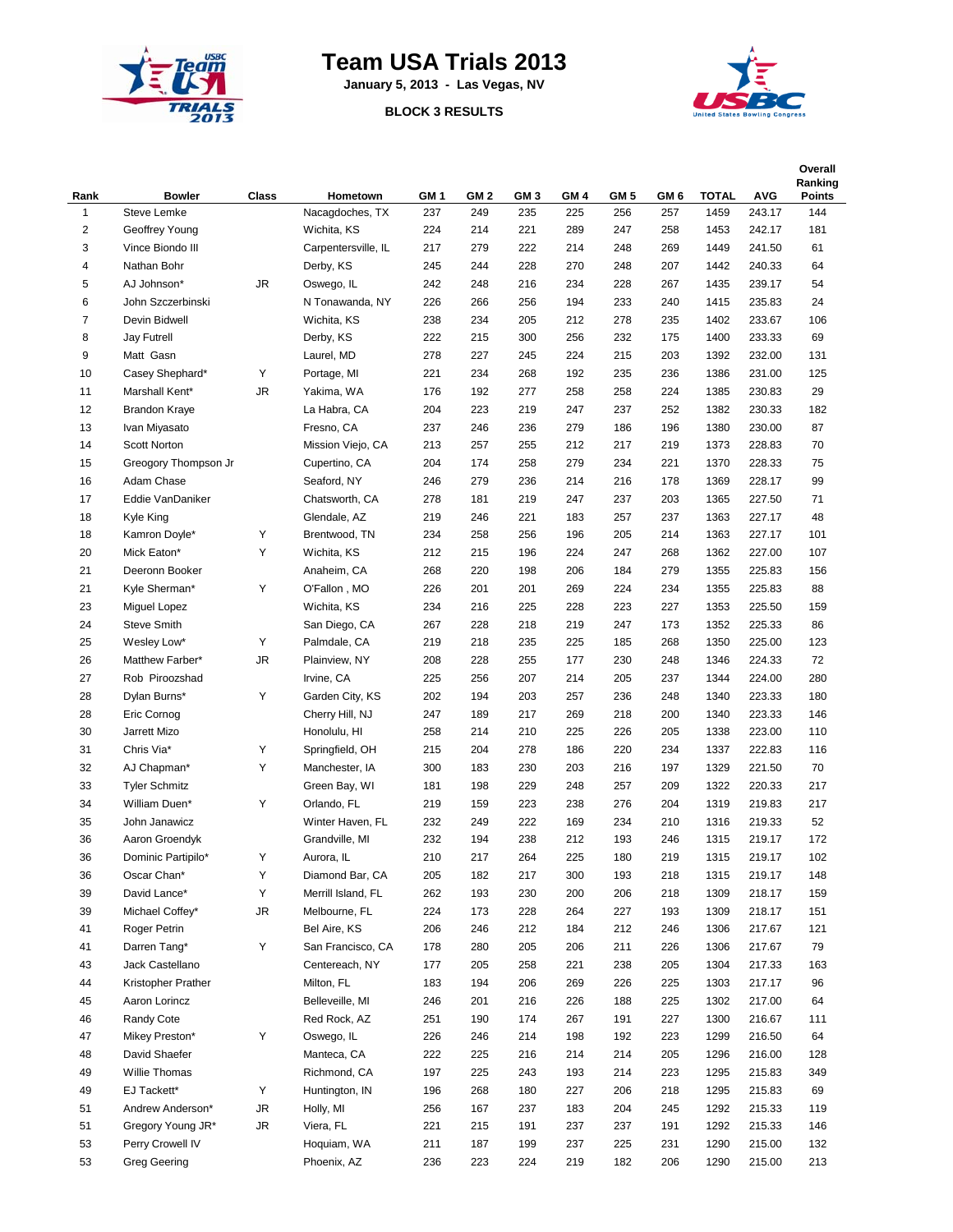

## **Team USA Trials 2013**

**January 5, 2013 - Las Vegas, NV**

## **BLOCK 3 RESULTS**



| Rank           | <b>Bowler</b>                   | <b>Class</b> | Hometown                  | GM <sub>1</sub> | GM <sub>2</sub> | GM <sub>3</sub> | GM <sub>4</sub> | GM 5       | GM 6       | <b>TOTAL</b> | <b>AVG</b>       | Overall<br>Ranking<br><b>Points</b> |
|----------------|---------------------------------|--------------|---------------------------|-----------------|-----------------|-----------------|-----------------|------------|------------|--------------|------------------|-------------------------------------|
| $\mathbf{1}$   | Steve Lemke                     |              | Nacagdoches, TX           | 237             | 249             | 235             | 225             | 256        | 257        | 1459         | 243.17           | 144                                 |
| $\overline{c}$ | Geoffrey Young                  |              | Wichita, KS               | 224             | 214             | 221             | 289             | 247        | 258        | 1453         | 242.17           | 181                                 |
| 3              | Vince Biondo III                |              | Carpentersville, IL       | 217             | 279             | 222             | 214             | 248        | 269        | 1449         | 241.50           | 61                                  |
| 4              | Nathan Bohr                     |              | Derby, KS                 | 245             | 244             | 228             | 270             | 248        | 207        | 1442         | 240.33           | 64                                  |
| 5              | AJ Johnson*                     | JR           | Oswego, IL                | 242             | 248             | 216             | 234             | 228        | 267        | 1435         | 239.17           | 54                                  |
| 6              | John Szczerbinski               |              | N Tonawanda, NY           | 226             | 266             | 256             | 194             | 233        | 240        | 1415         | 235.83           | 24                                  |
| $\overline{7}$ | Devin Bidwell                   |              | Wichita, KS               | 238             | 234             | 205             | 212             | 278        | 235        | 1402         | 233.67           | 106                                 |
| 8              | <b>Jay Futrell</b>              |              | Derby, KS                 | 222             | 215             | 300             | 256             | 232        | 175        | 1400         | 233.33           | 69                                  |
| 9              | Matt Gasn                       |              | Laurel, MD                | 278             | 227             | 245             | 224             | 215        | 203        | 1392         | 232.00           | 131                                 |
| 10             | Casey Shephard*                 | Υ            | Portage, MI               | 221             | 234             | 268             | 192             | 235        | 236        | 1386         | 231.00           | 125                                 |
| 11             | Marshall Kent*                  | JR           | Yakima, WA                | 176             | 192             | 277             | 258             | 258        | 224        | 1385         | 230.83           | 29                                  |
| 12             | <b>Brandon Kraye</b>            |              | La Habra, CA              | 204             | 223             | 219             | 247             | 237        | 252        | 1382         | 230.33           | 182                                 |
| 13             | Ivan Miyasato                   |              | Fresno, CA                | 237             | 246             | 236             | 279             | 186        | 196        | 1380         | 230.00           | 87                                  |
| 14             | Scott Norton                    |              | Mission Viejo, CA         | 213             | 257             | 255             | 212             | 217        | 219        | 1373         | 228.83           | 70                                  |
| 15             | Greogory Thompson Jr            |              | Cupertino, CA             | 204             | 174             | 258             | 279             | 234        | 221        | 1370         | 228.33           | 75                                  |
| 16             | Adam Chase                      |              | Seaford, NY               | 246             | 279             | 236             | 214             | 216        | 178        | 1369         | 228.17           | 99                                  |
| 17             | Eddie VanDaniker                |              | Chatsworth, CA            | 278             | 181             | 219             | 247             | 237        | 203        | 1365         | 227.50           | 71                                  |
| 18             | Kyle King                       |              | Glendale, AZ              | 219             | 246             | 221             | 183             | 257        | 237        | 1363         | 227.17           | 48                                  |
| 18             | Kamron Doyle*                   | Υ            | Brentwood, TN             | 234             | 258             | 256             | 196             | 205        | 214        | 1363         | 227.17           | 101                                 |
| 20             | Mick Eaton*                     | Y            | Wichita, KS               | 212             | 215             | 196             | 224             | 247        | 268        | 1362         | 227.00           | 107                                 |
| 21             | Deeronn Booker                  |              | Anaheim, CA               | 268             | 220             | 198             | 206             | 184        | 279        | 1355         | 225.83           | 156                                 |
| 21             | Kyle Sherman*                   | Υ            | O'Fallon, MO              | 226             | 201             | 201             | 269             | 224        | 234        | 1355         | 225.83           | 88                                  |
| 23             | Miguel Lopez                    |              | Wichita, KS               | 234             | 216             | 225             | 228             | 223        | 227        | 1353         | 225.50           | 159                                 |
| 24             | <b>Steve Smith</b>              |              | San Diego, CA             | 267             | 228             | 218             | 219             | 247        | 173        | 1352         | 225.33           | 86                                  |
| 25             | Wesley Low*                     | Υ            | Palmdale, CA              | 219             | 218             | 235             | 225             | 185        | 268        | 1350         | 225.00           | 123                                 |
| 26             | Matthew Farber*                 | JR           | Plainview, NY             | 208             | 228             | 255             | 177             | 230        | 248        | 1346         | 224.33           | 72                                  |
| 27             | Rob Piroozshad                  |              | Irvine, CA                | 225             | 256             | 207             | 214             | 205        | 237        | 1344         | 224.00           | 280                                 |
| 28             | Dylan Burns*                    | Υ            | Garden City, KS           | 202             | 194             | 203             | 257             | 236        | 248        | 1340         | 223.33           | 180                                 |
| 28             | Eric Cornog                     |              | Cherry Hill, NJ           | 247             | 189             | 217             | 269             | 218        | 200        | 1340         | 223.33           | 146                                 |
| 30             | Jarrett Mizo                    |              | Honolulu, HI              | 258             | 214             | 210             | 225             | 226        | 205        | 1338         | 223.00           | 110                                 |
| 31             | Chris Via*                      | Υ            | Springfield, OH           | 215             | 204             | 278             | 186             | 220        | 234        | 1337         | 222.83           | 116                                 |
| 32             | AJ Chapman*                     | Υ            | Manchester, IA            | 300             | 183             | 230             | 203             | 216        | 197        | 1329         | 221.50           | 70                                  |
| 33             | <b>Tyler Schmitz</b>            |              | Green Bay, WI             | 181             | 198             | 229             | 248             | 257        | 209        | 1322         | 220.33           | 217                                 |
| 34             | William Duen*                   | Υ            | Orlando, FL               | 219             | 159             | 223             | 238             | 276        | 204        | 1319         | 219.83           | 217                                 |
| 35             | John Janawicz                   |              | Winter Haven, FL          | 232             | 249             | 222             | 169             | 234        | 210        | 1316         | 219.33           | 52                                  |
| 36             | Aaron Groendyk                  |              | Grandville, MI            | 232             | 194             | 238             | 212             | 193        | 246        | 1315         | 219.17           | 172                                 |
| 36             | Dominic Partipilo*              | Y            | Aurora, IL                | 210             | 217             | 264             | 225             | 180        | 219        | 1315         | 219.17           | 102                                 |
| 36             | Oscar Chan*                     | Υ            | Diamond Bar, CA           | 205             | 182             | 217             | 300             | 193        | 218        | 1315         | 219.17           | 148                                 |
| 39             | David Lance*                    | Υ            | Merrill Island, FL        | 262             | 193             | 230             | 200             | 206        | 218        | 1309         | 218.17           | 159                                 |
| 39             | Michael Coffey*                 | JR           | Melbourne, FL             | 224             | 173             | 228             | 264             | 227        | 193        | 1309         | 218.17           | 151                                 |
| 41             | Roger Petrin                    |              | Bel Aire, KS              | 206             | 246             | 212             | 184             | 212        | 246        | 1306         | 217.67           | 121                                 |
| 41             | Darren Tang*                    | Υ            | San Francisco, CA         | 178             | 280             | 205             | 206             | 211        | 226        | 1306         | 217.67           | 79                                  |
| 43             | Jack Castellano                 |              | Centereach, NY            | 177             | 205             | 258             | 221             | 238        | 205        | 1304         | 217.33           | 163                                 |
| 44             | Kristopher Prather              |              | Milton, FL                |                 |                 | 206             | 269             |            |            |              |                  |                                     |
| 45             | Aaron Lorincz                   |              | Belleveille, MI           | 183<br>246      | 194             | 216             | 226             | 226<br>188 | 225<br>225 | 1303         | 217.17           | 96<br>64                            |
| 46             |                                 |              | Red Rock, AZ              |                 | 201             |                 |                 |            | 227        | 1302         | 217.00<br>216.67 |                                     |
|                | Randy Cote                      |              |                           | 251             | 190             | 174             | 267             | 191        |            | 1300         |                  | 111                                 |
| 47<br>48       | Mikey Preston*<br>David Shaefer | Υ            | Oswego, IL<br>Manteca, CA | 226<br>222      | 246             | 214             | 198<br>214      | 192        | 223<br>205 | 1299         | 216.50           | 64                                  |
|                |                                 |              |                           |                 | 225             | 216             |                 | 214        |            | 1296         | 216.00           | 128                                 |
| 49             | Willie Thomas                   |              | Richmond, CA              | 197             | 225             | 243             | 193             | 214        | 223        | 1295         | 215.83           | 349                                 |
| 49             | EJ Tackett*                     | Υ            | Huntington, IN            | 196             | 268             | 180             | 227             | 206        | 218        | 1295         | 215.83           | 69                                  |
| 51             | Andrew Anderson*                | JR           | Holly, MI                 | 256             | 167             | 237             | 183             | 204        | 245        | 1292         | 215.33           | 119                                 |
| 51             | Gregory Young JR*               | JR           | Viera, FL                 | 221             | 215             | 191             | 237             | 237        | 191        | 1292         | 215.33           | 146                                 |
| 53             | Perry Crowell IV                |              | Hoquiam, WA               | 211             | 187             | 199             | 237             | 225        | 231        | 1290         | 215.00           | 132                                 |
| 53             | <b>Greg Geering</b>             |              | Phoenix, AZ               | 236             | 223             | 224             | 219             | 182        | 206        | 1290         | 215.00           | 213                                 |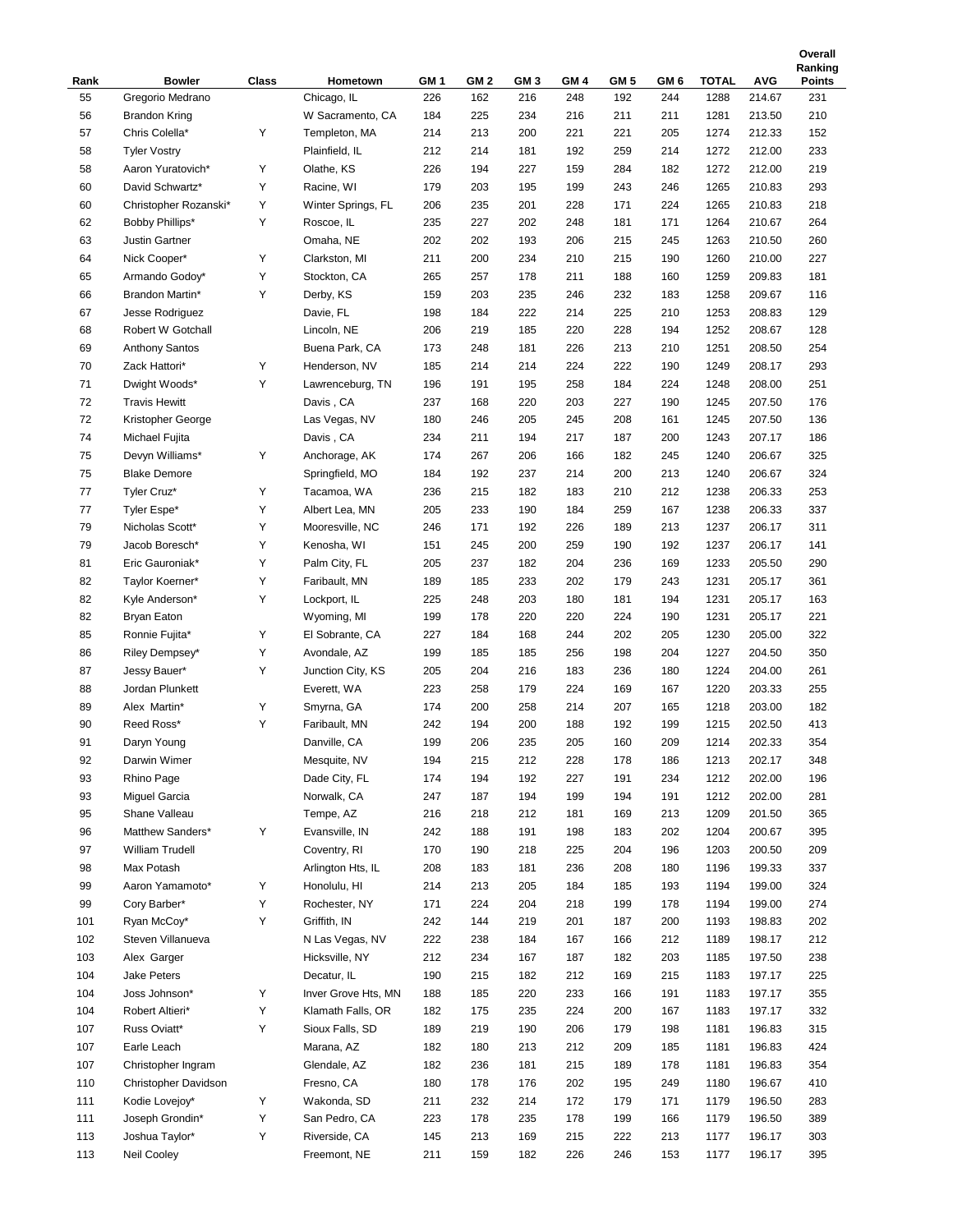|      |                       |              |                     |                 |                 |                 |                 |                 |                 |              |            | Ranking       |
|------|-----------------------|--------------|---------------------|-----------------|-----------------|-----------------|-----------------|-----------------|-----------------|--------------|------------|---------------|
| Rank | <b>Bowler</b>         | <b>Class</b> | Hometown            | GM <sub>1</sub> | GM <sub>2</sub> | GM <sub>3</sub> | GM <sub>4</sub> | GM <sub>5</sub> | GM <sub>6</sub> | <b>TOTAL</b> | <b>AVG</b> | <b>Points</b> |
| 55   | Gregorio Medrano      |              | Chicago, IL         | 226             | 162             | 216             | 248             | 192             | 244             | 1288         | 214.67     | 231           |
| 56   | <b>Brandon Kring</b>  |              | W Sacramento, CA    | 184             | 225             | 234             | 216             | 211             | 211             | 1281         | 213.50     | 210           |
| 57   | Chris Colella*        | Υ            | Templeton, MA       | 214             | 213             | 200             | 221             | 221             | 205             | 1274         | 212.33     | 152           |
| 58   | <b>Tyler Vostry</b>   |              | Plainfield, IL      | 212             | 214             | 181             | 192             | 259             | 214             | 1272         | 212.00     | 233           |
| 58   | Aaron Yuratovich*     | Υ            | Olathe, KS          | 226             | 194             | 227             | 159             | 284             | 182             | 1272         | 212.00     | 219           |
| 60   | David Schwartz*       | Y            | Racine, WI          | 179             | 203             | 195             | 199             | 243             | 246             | 1265         | 210.83     | 293           |
| 60   | Christopher Rozanski* | Υ            | Winter Springs, FL  | 206             | 235             | 201             | 228             | 171             | 224             | 1265         | 210.83     | 218           |
| 62   | Bobby Phillips*       | Υ            | Roscoe, IL          | 235             | 227             | 202             | 248             | 181             | 171             | 1264         | 210.67     | 264           |
| 63   | <b>Justin Gartner</b> |              | Omaha, NE           | 202             | 202             | 193             | 206             | 215             | 245             | 1263         | 210.50     | 260           |
| 64   | Nick Cooper*          | Υ            | Clarkston, MI       | 211             | 200             | 234             | 210             | 215             | 190             | 1260         | 210.00     | 227           |
| 65   | Armando Godoy*        | Υ            | Stockton, CA        | 265             | 257             | 178             | 211             | 188             | 160             | 1259         | 209.83     | 181           |
| 66   | Brandon Martin*       | Υ            | Derby, KS           | 159             | 203             | 235             | 246             | 232             | 183             | 1258         | 209.67     | 116           |
| 67   | Jesse Rodriguez       |              | Davie, FL           | 198             | 184             | 222             | 214             | 225             | 210             | 1253         | 208.83     | 129           |
| 68   | Robert W Gotchall     |              | Lincoln, NE         | 206             | 219             | 185             | 220             | 228             | 194             | 1252         | 208.67     | 128           |
| 69   | <b>Anthony Santos</b> |              | Buena Park, CA      | 173             | 248             | 181             | 226             | 213             | 210             | 1251         | 208.50     | 254           |
| 70   | Zack Hattori*         | Υ            | Henderson, NV       | 185             | 214             | 214             | 224             | 222             | 190             | 1249         | 208.17     | 293           |
| 71   | Dwight Woods*         | Υ            | Lawrenceburg, TN    | 196             | 191             | 195             | 258             | 184             | 224             | 1248         | 208.00     | 251           |
| 72   | <b>Travis Hewitt</b>  |              | Davis, CA           | 237             | 168             | 220             | 203             | 227             | 190             | 1245         | 207.50     | 176           |
| 72   | Kristopher George     |              | Las Vegas, NV       | 180             | 246             | 205             | 245             | 208             | 161             | 1245         | 207.50     | 136           |
| 74   | Michael Fujita        |              |                     | 234             | 211             | 194             | 217             | 187             | 200             | 1243         | 207.17     | 186           |
| 75   |                       |              | Davis, CA           |                 |                 |                 |                 |                 |                 |              |            |               |
|      | Devyn Williams*       | Υ            | Anchorage, AK       | 174             | 267             | 206             | 166             | 182             | 245             | 1240         | 206.67     | 325           |
| 75   | <b>Blake Demore</b>   |              | Springfield, MO     | 184             | 192             | 237             | 214             | 200             | 213             | 1240         | 206.67     | 324           |
| 77   | Tyler Cruz*           | Υ            | Tacamoa, WA         | 236             | 215             | 182             | 183             | 210             | 212             | 1238         | 206.33     | 253           |
| 77   | Tyler Espe*           | Υ            | Albert Lea, MN      | 205             | 233             | 190             | 184             | 259             | 167             | 1238         | 206.33     | 337           |
| 79   | Nicholas Scott*       | Υ            | Mooresville, NC     | 246             | 171             | 192             | 226             | 189             | 213             | 1237         | 206.17     | 311           |
| 79   | Jacob Boresch*        | Υ            | Kenosha, WI         | 151             | 245             | 200             | 259             | 190             | 192             | 1237         | 206.17     | 141           |
| 81   | Eric Gauroniak*       | Υ            | Palm City, FL       | 205             | 237             | 182             | 204             | 236             | 169             | 1233         | 205.50     | 290           |
| 82   | Taylor Koerner*       | Υ            | Faribault, MN       | 189             | 185             | 233             | 202             | 179             | 243             | 1231         | 205.17     | 361           |
| 82   | Kyle Anderson*        | Υ            | Lockport, IL        | 225             | 248             | 203             | 180             | 181             | 194             | 1231         | 205.17     | 163           |
| 82   | Bryan Eaton           |              | Wyoming, MI         | 199             | 178             | 220             | 220             | 224             | 190             | 1231         | 205.17     | 221           |
| 85   | Ronnie Fujita*        | Υ            | El Sobrante, CA     | 227             | 184             | 168             | 244             | 202             | 205             | 1230         | 205.00     | 322           |
| 86   | Riley Dempsey*        | Υ            | Avondale, AZ        | 199             | 185             | 185             | 256             | 198             | 204             | 1227         | 204.50     | 350           |
| 87   | Jessy Bauer*          | Υ            | Junction City, KS   | 205             | 204             | 216             | 183             | 236             | 180             | 1224         | 204.00     | 261           |
| 88   | Jordan Plunkett       |              | Everett, WA         | 223             | 258             | 179             | 224             | 169             | 167             | 1220         | 203.33     | 255           |
| 89   | Alex Martin*          | Υ            | Smyrna, GA          | 174             | 200             | 258             | 214             | 207             | 165             | 1218         | 203.00     | 182           |
| 90   | Reed Ross*            | Y            | Faribault, MN       | 242             | 194             | 200             | 188             | 192             | 199             | 1215         | 202.50     | 413           |
| 91   | Daryn Young           |              | Danville, CA        | 199             | 206             | 235             | 205             | 160             | 209             | 1214         | 202.33     | 354           |
| 92   | Darwin Wimer          |              | Mesquite, NV        | 194             | 215             | 212             | 228             | 178             | 186             | 1213         | 202.17     | 348           |
| 93   | Rhino Page            |              | Dade City, FL       | 174             | 194             | 192             | 227             | 191             | 234             | 1212         | 202.00     | 196           |
| 93   | Miguel Garcia         |              | Norwalk, CA         | 247             | 187             | 194             | 199             | 194             | 191             | 1212         | 202.00     | 281           |
| 95   | Shane Valleau         |              | Tempe, AZ           | 216             | 218             | 212             | 181             | 169             | 213             | 1209         | 201.50     | 365           |
| 96   | Matthew Sanders*      | Υ            | Evansville, IN      | 242             | 188             | 191             | 198             | 183             | 202             | 1204         | 200.67     | 395           |
| 97   | William Trudell       |              | Coventry, RI        | 170             | 190             | 218             | 225             | 204             | 196             | 1203         | 200.50     | 209           |
| 98   | Max Potash            |              | Arlington Hts, IL   | 208             | 183             | 181             | 236             | 208             | 180             | 1196         | 199.33     | 337           |
| 99   | Aaron Yamamoto*       | Υ            | Honolulu, HI        | 214             | 213             | 205             | 184             | 185             | 193             | 1194         | 199.00     | 324           |
| 99   | Cory Barber*          | Υ            | Rochester, NY       | 171             | 224             | 204             | 218             | 199             | 178             | 1194         | 199.00     | 274           |
| 101  | Ryan McCoy*           | Υ            | Griffith, IN        | 242             | 144             | 219             | 201             | 187             | 200             | 1193         | 198.83     | 202           |
| 102  | Steven Villanueva     |              | N Las Vegas, NV     | 222             | 238             | 184             | 167             | 166             | 212             | 1189         | 198.17     | 212           |
| 103  | Alex Garger           |              | Hicksville, NY      | 212             | 234             | 167             | 187             | 182             | 203             | 1185         | 197.50     | 238           |
| 104  | Jake Peters           |              | Decatur, IL         | 190             |                 |                 | 212             | 169             |                 | 1183         | 197.17     | 225           |
|      |                       |              |                     |                 | 215             | 182             |                 |                 | 215             |              |            |               |
| 104  | Joss Johnson*         | Υ            | Inver Grove Hts, MN | 188             | 185             | 220             | 233             | 166             | 191             | 1183         | 197.17     | 355           |
| 104  | Robert Altieri*       | Υ            | Klamath Falls, OR   | 182             | 175             | 235             | 224             | 200             | 167             | 1183         | 197.17     | 332           |
| 107  | Russ Oviatt*          | Υ            | Sioux Falls, SD     | 189             | 219             | 190             | 206             | 179             | 198             | 1181         | 196.83     | 315           |
| 107  | Earle Leach           |              | Marana, AZ          | 182             | 180             | 213             | 212             | 209             | 185             | 1181         | 196.83     | 424           |
| 107  | Christopher Ingram    |              | Glendale, AZ        | 182             | 236             | 181             | 215             | 189             | 178             | 1181         | 196.83     | 354           |
| 110  | Christopher Davidson  |              | Fresno, CA          | 180             | 178             | 176             | 202             | 195             | 249             | 1180         | 196.67     | 410           |
| 111  | Kodie Lovejoy*        | Υ            | Wakonda, SD         | 211             | 232             | 214             | 172             | 179             | 171             | 1179         | 196.50     | 283           |
| 111  | Joseph Grondin*       | Υ            | San Pedro, CA       | 223             | 178             | 235             | 178             | 199             | 166             | 1179         | 196.50     | 389           |
| 113  | Joshua Taylor*        | Υ            | Riverside, CA       | 145             | 213             | 169             | 215             | 222             | 213             | 1177         | 196.17     | 303           |
| 113  | Neil Cooley           |              | Freemont, NE        | 211             | 159             | 182             | 226             | 246             | 153             | 1177         | 196.17     | 395           |

**Overall**